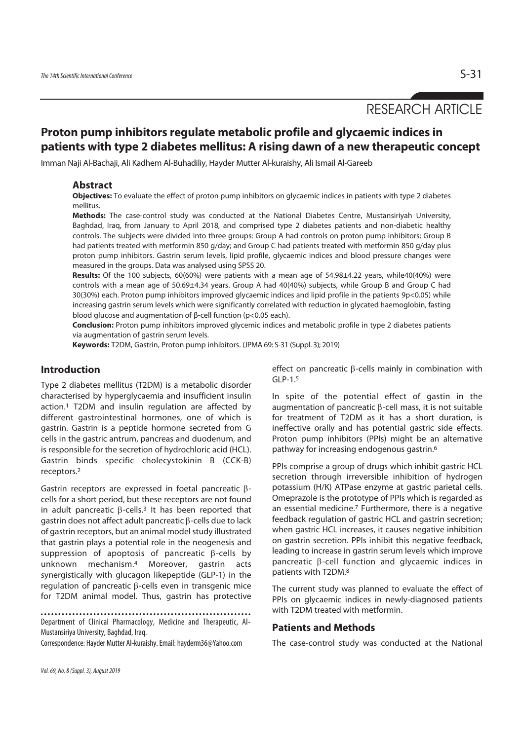# RESEARCH ARTICLE

# **Proton pump inhibitors regulate metabolic profile and glycaemic indices in patients with type 2 diabetes mellitus: A rising dawn of a new therapeutic concept**

Imman Naji Al-Bachaji, Ali Kadhem Al-Buhadiliy, Hayder Mutter Al-kuraishy, Ali Ismail Al-Gareeb

## **Abstract**

**Objectives:** To evaluate the effect of proton pump inhibitors on glycaemic indices in patients with type 2 diabetes mellitus.

**Methods:** The case-control study was conducted at the National Diabetes Centre, Mustansiriyah University, Baghdad, Iraq, from January to April 2018, and comprised type 2 diabetes patients and non-diabetic healthy controls. The subjects were divided into three groups: Group A had controls on proton pump inhibitors; Group B had patients treated with metformin 850 g/day; and Group C had patients treated with metformin 850 g/day plus proton pump inhibitors. Gastrin serum levels, lipid profile, glycaemic indices and blood pressure changes were measured in the groups. Data was analysed using SPSS 20.

**Results:** Of the 100 subjects, 60(60%) were patients with a mean age of 54.98±4.22 years, while40(40%) were controls with a mean age of 50.69±4.34 years. Group A had 40(40%) subjects, while Group B and Group C had 30(30%) each. Proton pump inhibitors improved glycaemic indices and lipid profile in the patients 9p<0.05) while increasing gastrin serum levels which were significantly correlated with reduction in glycated haemoglobin, fasting blood glucose and augmentation of β-cell function (p<0.05 each).

**Conclusion:** Proton pump inhibitors improved glycemic indices and metabolic profile in type 2 diabetes patients via augmentation of gastrin serum levels.

**Keywords:** T2DM, Gastrin, Proton pump inhibitors. (JPMA 69: S-31 (Suppl. 3); 2019)

## **Introduction**

Type 2 diabetes mellitus (T2DM) is a metabolic disorder characterised by hyperglycaemia and insufficient insulin action.1 T2DM and insulin regulation are affected by different gastrointestinal hormones, one of which is gastrin. Gastrin is a peptide hormone secreted from G cells in the gastric antrum, pancreas and duodenum, and is responsible for the secretion of hydrochloric acid (HCL). Gastrin binds specific cholecystokinin B (CCK-B) receptors.2

Gastrin receptors are expressed in foetal pancreatic βcells for a short period, but these receptors are not found in adult pancreatic  $β$ -cells.<sup>3</sup> It has been reported that gastrin does not affect adult pancreatic β-cells due to lack of gastrin receptors, but an animal model study illustrated that gastrin plays a potential role in the neogenesis and suppression of apoptosis of pancreatic β-cells by unknown mechanism.4 Moreover, gastrin acts synergistically with glucagon likepeptide (GLP-1) in the regulation of pancreatic β-cells even in transgenic mice for T2DM animal model. Thus, gastrin has protective

Department of Clinical Pharmacology, Medicine and Therapeutic, Al-Mustansiriya University, Baghdad, Iraq.

Correspondence: Hayder Mutter Al-kuraishy. Email: hayderm36@Yahoo.com

effect on pancreatic β-cells mainly in combination with GLP-1.5

In spite of the potential effect of gastin in the augmentation of pancreatic β-cell mass, it is not suitable for treatment of T2DM as it has a short duration, is ineffective orally and has potential gastric side effects. Proton pump inhibitors (PPIs) might be an alternative pathway for increasing endogenous gastrin.6

PPIs comprise a group of drugs which inhibit gastric HCL secretion through irreversible inhibition of hydrogen potassium (H/K) ATPase enzyme at gastric parietal cells. Omeprazole is the prototype of PPIs which is regarded as an essential medicine.7 Furthermore, there is a negative feedback regulation of gastric HCL and gastrin secretion; when gastric HCL increases, it causes negative inhibition on gastrin secretion. PPIs inhibit this negative feedback, leading to increase in gastrin serum levels which improve pancreatic β-cell function and glycaemic indices in patients with T2DM.8

The current study was planned to evaluate the effect of PPIs on glycaemic indices in newly-diagnosed patients with T2DM treated with metformin.

## **Patients and Methods**

The case-control study was conducted at the National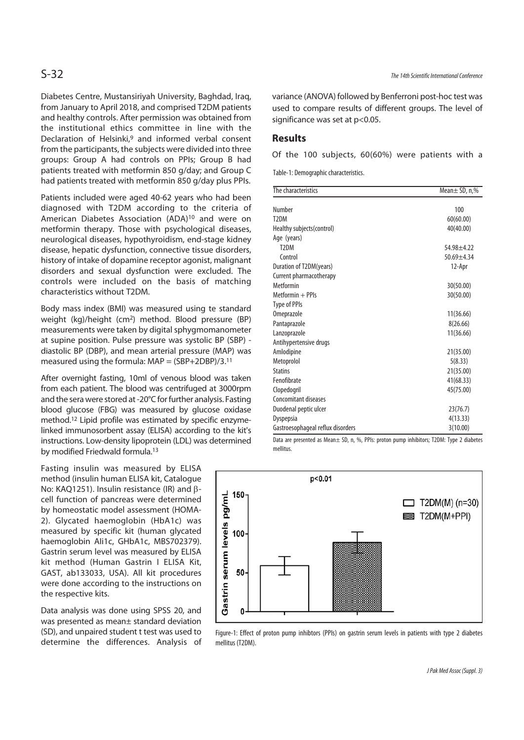Diabetes Centre, Mustansiriyah University, Baghdad, Iraq, from January to April 2018, and comprised T2DM patients and healthy controls. After permission was obtained from the institutional ethics committee in line with the Declaration of Helsinki,<sup>9</sup> and informed verbal consent from the participants, the subjects were divided into three groups: Group A had controls on PPIs; Group B had patients treated with metformin 850 g/day; and Group C had patients treated with metformin 850 g/day plus PPIs.

Patients included were aged 40-62 years who had been diagnosed with T2DM according to the criteria of American Diabetes Association (ADA)10 and were on metformin therapy. Those with psychological diseases, neurological diseases, hypothyroidism, end-stage kidney disease, hepatic dysfunction, connective tissue disorders, history of intake of dopamine receptor agonist, malignant disorders and sexual dysfunction were excluded. The controls were included on the basis of matching characteristics without T2DM.

Body mass index (BMI) was measured using te standard weight (kg)/height (cm2) method. Blood pressure (BP) measurements were taken by digital sphygmomanometer at supine position. Pulse pressure was systolic BP (SBP) diastolic BP (DBP), and mean arterial pressure (MAP) was measured using the formula:  $MAP = (SBP+2DBP)/3.11$ 

After overnight fasting, 10ml of venous blood was taken from each patient. The blood was centrifuged at 3000rpm and the sera were stored at -20°C for further analysis. Fasting blood glucose (FBG) was measured by glucose oxidase method.12 Lipid profile was estimated by specific enzymelinked immunosorbent assay (ELISA) according to the kit's instructions. Low-density lipoprotein (LDL) was determined by modified Friedwald formula.13

Fasting insulin was measured by ELISA method (insulin human ELISA kit, Catalogue No: KAQ1251). Insulin resistance (IR) and βcell function of pancreas were determined by homeostatic model assessment (HOMA-2). Glycated haemoglobin (HbA1c) was measured by specific kit (human glycated haemoglobin AIi1c, GHbA1c, MBS702379). Gastrin serum level was measured by ELISA kit method (Human Gastrin I ELISA Kit, GAST, ab133033, USA). All kit procedures were done according to the instructions on the respective kits.

Data analysis was done using SPSS 20, and was presented as mean± standard deviation (SD), and unpaired student t test was used to determine the differences. Analysis of variance (ANOVA) followed by Benferroni post-hoc test was used to compare results of different groups. The level of significance was set at p<0.05.

## **Results**

Of the 100 subjects, 60(60%) were patients with a

Table-1: Demographic characteristics.

| The characteristics               | Mean $\pm$ SD, n,% |
|-----------------------------------|--------------------|
|                                   |                    |
| Number                            | 100                |
| T <sub>2</sub> DM                 | 60(60.00)          |
| Healthy subjects (control)        | 40(40.00)          |
| Age (years)                       |                    |
| T <sub>2</sub> DM                 | $54.98 + 4.22$     |
| Control                           | $50.69 + 4.34$     |
| Duration of T2DM(years)           | 12-Apr             |
| Current pharmacotherapy           |                    |
| Metformin                         | 30(50.00)          |
| Metformin + PPIs                  | 30(50.00)          |
| Type of PPIs                      |                    |
| Omeprazole                        | 11(36.66)          |
| Pantaprazole                      | 8(26.66)           |
| Lanzoprazole                      | 11(36.66)          |
| Antihypertensive drugs            |                    |
| Amlodipine                        | 21(35.00)          |
| Metoprolol                        | 5(8.33)            |
| <b>Statins</b>                    | 21(35.00)          |
| Fenofibrate                       | 41(68.33)          |
| Clopedogril                       | 45(75.00)          |
| Concomitant diseases              |                    |
| Duodenal peptic ulcer             | 23(76.7)           |
| Dyspepsia                         | 4(13.33)           |
| Gastroesophageal reflux disorders | 3(10.00)           |

Data are presented as Mean± SD, n, %, PPIs: proton pump inhibitors; T2DM: Type 2 diabetes mellitus.



Figure-1: Effect of proton pump inhibtors (PPIs) on gastrin serum levels in patients with type 2 diabetes mellitus (T2DM).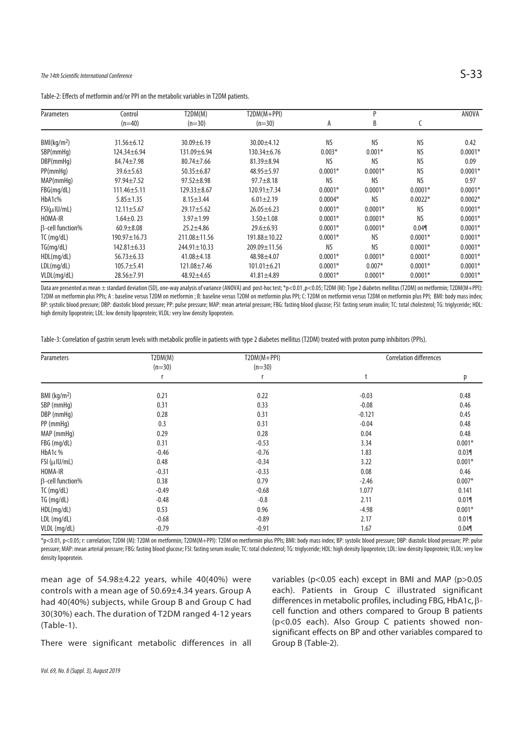## The 14th Scientific International Conference  $S-33$

| <b>Parameters</b>       | Control           | T2DM(M)            | $T2DM(M+PPI)$      |           | P         |           | ANOVA     |
|-------------------------|-------------------|--------------------|--------------------|-----------|-----------|-----------|-----------|
|                         | $(n=40)$          | $(n=30)$           | $(n=30)$           | А         | B         |           |           |
| BMl(kq/m <sup>2</sup> ) | $31.56 \pm 6.12$  | $30.09 \pm 6.19$   | 30.00±4.12         | <b>NS</b> | <b>NS</b> | <b>NS</b> | 0.42      |
| SBP(mmHq)               | 124.34±6.94       | 131.09±6.94        | $130.34 \pm 6.76$  | $0.003*$  | $0.001*$  | <b>NS</b> | $0.0001*$ |
| DBP(mmHq)               | $84.74 \pm 7.98$  | $80.74 \pm 7.66$   | $81.39 \pm 8.94$   | <b>NS</b> | <b>NS</b> | <b>NS</b> | 0.09      |
| PP(mmHq)                | $39.6 \pm 5.63$   | $50.35 \pm 6.87$   | $48.95 \pm 5.97$   | $0.0001*$ | $0.0001*$ | <b>NS</b> | $0.0001*$ |
| MAP(mmHq)               | $97.94 \pm 7.52$  | $97.52 \pm 8.98$   | $97.7 \pm 8.18$    | <b>NS</b> | <b>NS</b> | <b>NS</b> | 0.97      |
| FBG(mq/dL)              | $111.46 \pm 5.11$ | $129.33 \pm 8.67$  | $120.91 \pm 7.34$  | $0.0001*$ | $0.0001*$ | $0.0001*$ | $0.0001*$ |
| HbA1c%                  | $5.85 \pm 1.35$   | $8.15 \pm 3.44$    | $6.01 \pm 2.19$    | $0.0004*$ | <b>NS</b> | $0.0022*$ | $0.0002*$ |
| $FSI(\mu U/mL)$         | $12.11 \pm 5.67$  | $29.17 + 5.62$     | $26.05 \pm 6.23$   | $0.0001*$ | $0.0001*$ | <b>NS</b> | $0.0001*$ |
| HOMA-IR                 | $1.64 \pm 0.23$   | $3.97 \pm 1.99$    | $3.50 \pm 1.08$    | $0.0001*$ | $0.0001*$ | <b>NS</b> | $0.0001*$ |
| $\beta$ -cell function% | $60.9 + 8.08$     | $25.2 \pm 4.86$    | $29.6 \pm 6.93$    | $0.0001*$ | $0.0001*$ | 0.04      | $0.0001*$ |
| $TC$ (mg/dL)            | 190.97±16.73      | 211.08±11.56       | 191.88±10.22       | $0.0001*$ | <b>NS</b> | $0.0001*$ | $0.0001*$ |
| TG(mq/dL)               | $142.81 \pm 6.33$ | $244.91 \pm 10.33$ | $209.09 \pm 11.56$ | <b>NS</b> | <b>NS</b> | $0.0001*$ | $0.0001*$ |
| HDL(mq/dL)              | $56.73 \pm 6.33$  | $41.08 + 4.18$     | 48.98±4.07         | $0.0001*$ | $0.0001*$ | $0.0001*$ | $0.0001*$ |
| LDL(mq/dL)              | $105.7 + 5.41$    | 121.08±7.46        | $101.01 \pm 6.21$  | $0.0001*$ | $0.007*$  | $0.0001*$ | $0.0001*$ |
| VLDL(mg/dL)             | $28.56 \pm 7.91$  | 48.92±4.65         | $41.81 \pm 4.89$   | $0.0001*$ | $0.0001*$ | $0.0001*$ | $0.0001*$ |

Table-2: Effects of metformin and/or PPI on the metabolic variables in T2DM patients.

Data are presented as mean ±standard deviation (SD), one-way analysis of variance (ANOVA) and post-hoc test; \*p<0.01,p<0.05; T2DM (M): Type 2 diabetes mellitus (T2DM) on metformin; T2DM(M+PPI): T2DM on metformin plus PPIs; A : baseline versus T2DM on metformin ; B: baseline versus T2DM on metformin plus PPI; C: T2DM on metformin versus T2DM on metformin plus PPI; BMI: body mass index; BP: systolic blood pressure; DBP: diastolic blood pressure; PP: pulse pressure; MAP: mean arterial pressure; FBG: fasting blood glucose; FSI: fasting serum insulin; TC: total cholesterol; TG: triglyceride; HDL: high density lipoprotein; LDL: low density lipoprotein; VLDL: very low density lipoprotein.

Table-3: Correlation of gastrin serum levels with metabolic profile in patients with type 2 diabetes mellitus (T2DM) treated with proton pump inhibitors (PPIs).

| Parameters              | T2DM(M)  | $T2DM(M+PPI)$<br>$(n=30)$ | <b>Correlation differences</b> |          |  |
|-------------------------|----------|---------------------------|--------------------------------|----------|--|
|                         | $(n=30)$ |                           |                                |          |  |
|                         |          |                           | t                              | р        |  |
| BMI ( $kg/m2$ )         | 0.21     | 0.22                      | $-0.03$                        | 0.48     |  |
| SBP (mmHg)              | 0.31     | 0.33                      | $-0.08$                        | 0.46     |  |
| DBP (mmHg)              | 0.28     | 0.31                      | $-0.121$                       | 0.45     |  |
| PP (mmHg)               | 0.3      | 0.31                      | $-0.04$                        | 0.48     |  |
| MAP (mmHg)              | 0.29     | 0.28                      | 0.04                           | 0.48     |  |
| FBG (mg/dL)             | 0.31     | $-0.53$                   | 3.34                           | $0.001*$ |  |
| HbA1c%                  | $-0.46$  | $-0.76$                   | 1.83                           | 0.03     |  |
| $FSI(\mu U/mL)$         | 0.48     | $-0.34$                   | 3.22                           | $0.001*$ |  |
| HOMA-IR                 | $-0.31$  | $-0.33$                   | 0.08                           | 0.46     |  |
| $\beta$ -cell function% | 0.38     | 0.79                      | $-2.46$                        | $0.007*$ |  |
| $TC$ (mg/dL)            | $-0.49$  | $-0.68$                   | 1.077                          | 0.141    |  |
| TG (mg/dL)              | $-0.48$  | $-0.8$                    | 2.11                           | 0.01     |  |
| HDL(mq/dL)              | 0.53     | 0.96                      | $-4.98$                        | $0.001*$ |  |
| LDL (mg/dL)             | $-0.68$  | $-0.89$                   | 2.17                           | 0.019    |  |
| VLDL (mg/dL)            | $-0.79$  | $-0.91$                   | 1.67                           | 0.04     |  |

\*p<0.01, p<0.05; r: correlation; T2DM (M): T2DM on metformin; T2DM(M+PPI): T2DM on metformin plus PPIs; BMI: body mass index; BP: systolic blood pressure; DBP: diastolic blood pressure; PP: pulse pressure; MAP: mean arterial pressure; FBG: fasting blood glucose; FSI: fasting serum insulin; TC: total cholesterol; TG: triglyceride; HDL: high density lipoprotein; LDL: low density lipoprotein; VLDL: very low density lipoprotein.

mean age of 54.98±4.22 years, while 40(40%) were controls with a mean age of 50.69±4.34 years. Group A had 40(40%) subjects, while Group B and Group C had 30(30%) each. The duration of T2DM ranged 4-12 years (Table-1).

There were significant metabolic differences in all

variables (p<0.05 each) except in BMI and MAP (p>0.05 each). Patients in Group C illustrated significant differences in metabolic profiles, including FBG, HbA1c, βcell function and others compared to Group B patients (p<0.05 each). Also Group C patients showed nonsignificant effects on BP and other variables compared to Group B (Table-2).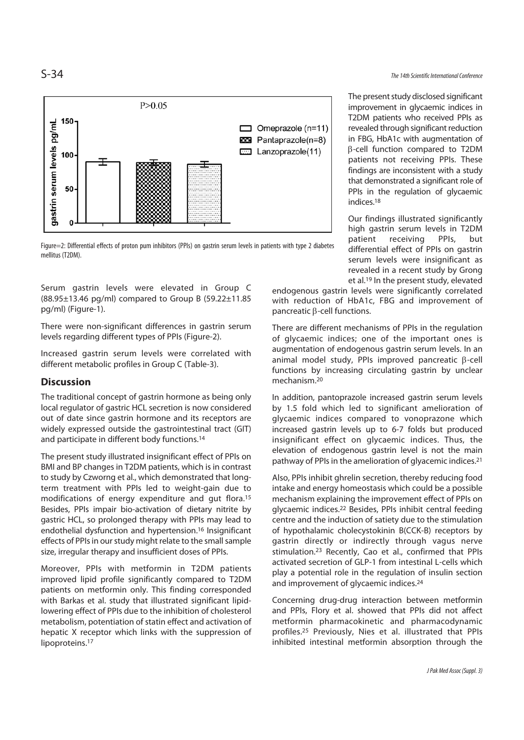



Serum gastrin levels were elevated in Group C (88.95±13.46 pg/ml) compared to Group B (59.22±11.85 pg/ml) (Figure-1).

There were non-significant differences in gastrin serum levels regarding different types of PPIs (Figure-2).

Increased gastrin serum levels were correlated with different metabolic profiles in Group C (Table-3).

## **Discussion**

The traditional concept of gastrin hormone as being only local regulator of gastric HCL secretion is now considered out of date since gastrin hormone and its receptors are widely expressed outside the gastrointestinal tract (GIT) and participate in different body functions.14

The present study illustrated insignificant effect of PPIs on BMI and BP changes in T2DM patients, which is in contrast to study by Czworng et al., which demonstrated that longterm treatment with PPIs led to weight-gain due to modifications of energy expenditure and gut flora.15 Besides, PPIs impair bio-activation of dietary nitrite by gastric HCL, so prolonged therapy with PPIs may lead to endothelial dysfunction and hypertension.16 Insignificant effects of PPIs in our study might relate to the small sample size, irregular therapy and insufficient doses of PPIs.

Moreover, PPIs with metformin in T2DM patients improved lipid profile significantly compared to T2DM patients on metformin only. This finding corresponded with Barkas et al. study that illustrated significant lipidlowering effect of PPIs due to the inhibition of cholesterol metabolism, potentiation of statin effect and activation of hepatic X receptor which links with the suppression of lipoproteins.17

The present study disclosed significant improvement in glycaemic indices in T2DM patients who received PPIs as revealed through significant reduction in FBG, HbA1c with augmentation of β-cell function compared to T2DM patients not receiving PPIs. These findings are inconsistent with a study that demonstrated a significant role of PPIs in the regulation of glycaemic indices.18

Our findings illustrated significantly high gastrin serum levels in T2DM patient receiving PPIs, but differential effect of PPIs on gastrin serum levels were insignificant as revealed in a recent study by Grong et al.19 In the present study, elevated

endogenous gastrin levels were significantly correlated with reduction of HbA1c, FBG and improvement of pancreatic β-cell functions.

There are different mechanisms of PPIs in the regulation of glycaemic indices; one of the important ones is augmentation of endogenous gastrin serum levels. In an animal model study, PPIs improved pancreatic β-cell functions by increasing circulating gastrin by unclear mechanism.20

In addition, pantoprazole increased gastrin serum levels by 1.5 fold which led to significant amelioration of glycaemic indices compared to vonoprazone which increased gastrin levels up to 6-7 folds but produced insignificant effect on glycaemic indices. Thus, the elevation of endogenous gastrin level is not the main pathway of PPIs in the amelioration of glyacemic indices.21

Also, PPIs inhibit ghrelin secretion, thereby reducing food intake and energy homeostasis which could be a possible mechanism explaining the improvement effect of PPIs on glycaemic indices.22 Besides, PPIs inhibit central feeding centre and the induction of satiety due to the stimulation of hypothalamic cholecystokinin B(CCK-B) receptors by gastrin directly or indirectly through vagus nerve stimulation.23 Recently, Cao et al., confirmed that PPIs activated secretion of GLP-1 from intestinal L-cells which play a potential role in the regulation of insulin section and improvement of glycaemic indices.24

Concerning drug-drug interaction between metformin and PPIs, Flory et al. showed that PPIs did not affect metformin pharmacokinetic and pharmacodynamic profiles.25 Previously, Nies et al. illustrated that PPIs inhibited intestinal metformin absorption through the